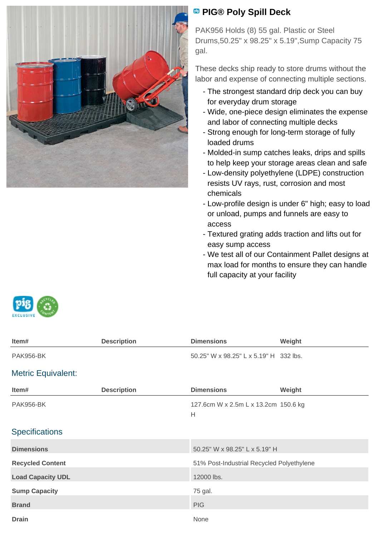

## **PIG® Poly Spill Deck**

PAK956 Holds (8) 55 gal. Plastic or Steel Drums,50.25" x 98.25" x 5.19",Sump Capacity 75 gal.

These decks ship ready to store drums without the labor and expense of connecting multiple sections.

- The strongest standard drip deck you can buy for everyday drum storage
- Wide, one-piece design eliminates the expense and labor of connecting multiple decks
- Strong enough for long-term storage of fully loaded drums
- Molded-in sump catches leaks, drips and spills to help keep your storage areas clean and safe
- Low-density polyethylene (LDPE) construction resists UV rays, rust, corrosion and most chemicals
- Low-profile design is under 6" high; easy to load or unload, pumps and funnels are easy to access
- Textured grating adds traction and lifts out for easy sump access
- We test all of our Containment Pallet designs at max load for months to ensure they can handle full capacity at your facility



| Item#                     | <b>Description</b> | <b>Dimensions</b>                         | Weight |
|---------------------------|--------------------|-------------------------------------------|--------|
| <b>PAK956-BK</b>          |                    | 50.25" W x 98.25" L x 5.19" H 332 lbs.    |        |
| <b>Metric Equivalent:</b> |                    |                                           |        |
| Item#                     | <b>Description</b> | <b>Dimensions</b>                         | Weight |
| <b>PAK956-BK</b>          |                    | 127.6cm W x 2.5m L x 13.2cm 150.6 kg<br>Н |        |
| <b>Specifications</b>     |                    |                                           |        |
| <b>Dimensions</b>         |                    | 50.25" W x 98.25" L x 5.19" H             |        |
| <b>Recycled Content</b>   |                    | 51% Post-Industrial Recycled Polyethylene |        |
| <b>Load Capacity UDL</b>  |                    | 12000 lbs.                                |        |
| <b>Sump Capacity</b>      |                    | 75 gal.                                   |        |
| <b>Brand</b>              |                    | <b>PIG</b>                                |        |
| <b>Drain</b>              |                    | None                                      |        |